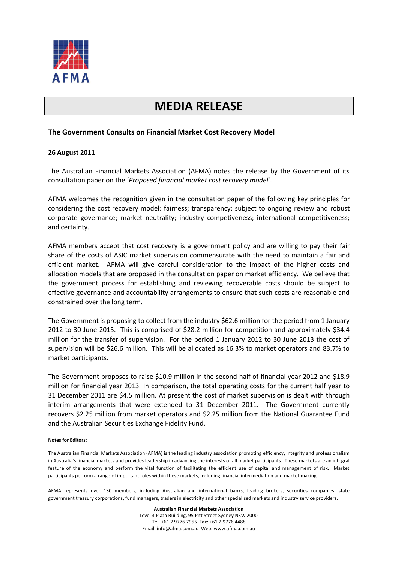

## **MEDIA RELEASE**

## **The Government Consults on Financial Market Cost Recovery Model**

## **26 August 2011**

The Australian Financial Markets Association (AFMA) notes the release by the Government of its consultation paper on the '*Proposed financial market cost recovery model*'.

AFMA welcomes the recognition given in the consultation paper of the following key principles for considering the cost recovery model: fairness; transparency; subject to ongoing review and robust corporate governance; market neutrality; industry competiveness; international competitiveness; and certainty.

AFMA members accept that cost recovery is a government policy and are willing to pay their fair share of the costs of ASIC market supervision commensurate with the need to maintain a fair and efficient market. AFMA will give careful consideration to the impact of the higher costs and allocation models that are proposed in the consultation paper on market efficiency. We believe that the government process for establishing and reviewing recoverable costs should be subject to effective governance and accountability arrangements to ensure that such costs are reasonable and constrained over the long term.

The Government is proposing to collect from the industry \$62.6 million for the period from 1 January 2012 to 30 June 2015. This is comprised of \$28.2 million for competition and approximately \$34.4 million for the transfer of supervision. For the period 1 January 2012 to 30 June 2013 the cost of supervision will be \$26.6 million. This will be allocated as 16.3% to market operators and 83.7% to market participants.

The Government proposes to raise \$10.9 million in the second half of financial year 2012 and \$18.9 million for financial year 2013. In comparison, the total operating costs for the current half year to 31 December 2011 are \$4.5 million. At present the cost of market supervision is dealt with through interim arrangements that were extended to 31 December 2011. The Government currently recovers \$2.25 million from market operators and \$2.25 million from the National Guarantee Fund and the Australian Securities Exchange Fidelity Fund.

## **Notes for Editors:**

The Australian Financial Markets Association (AFMA) is the leading industry association promoting efficiency, integrity and professionalism in Australia's financial markets and provides leadership in advancing the interests of all market participants. These markets are an integral feature of the economy and perform the vital function of facilitating the efficient use of capital and management of risk. Market participants perform a range of important roles within these markets, including financial intermediation and market making.

AFMA represents over 130 members, including Australian and international banks, leading brokers, securities companies, state government treasury corporations, fund managers, traders in electricity and other specialised markets and industry service providers.

> **Australian Financial Markets Association** Level 3 Plaza Building, 95 Pitt Street Sydney NSW 2000 Tel: +61 2 9776 7955 Fax: +61 2 9776 4488 Email: info@afma.com.au Web: www.afma.com.au